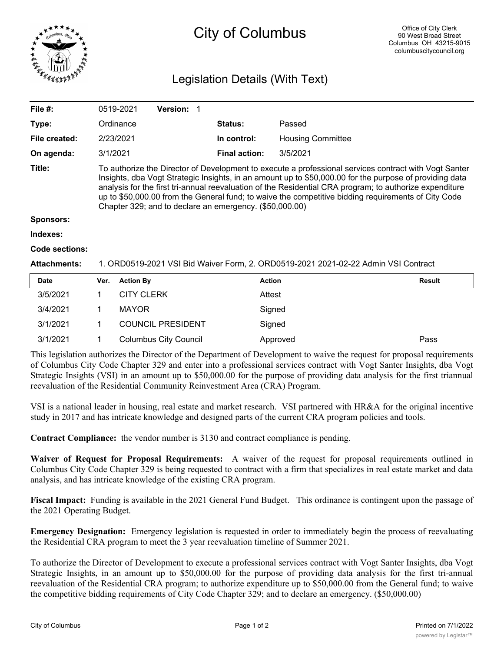

# City of Columbus

## Legislation Details (With Text)

| File $#$ :    | 0519-2021                                                                                                                                                                                                                                                                                                                                                                                                                                                                                     | Version: 1 |                      |                          |  |  |
|---------------|-----------------------------------------------------------------------------------------------------------------------------------------------------------------------------------------------------------------------------------------------------------------------------------------------------------------------------------------------------------------------------------------------------------------------------------------------------------------------------------------------|------------|----------------------|--------------------------|--|--|
| Type:         | Ordinance                                                                                                                                                                                                                                                                                                                                                                                                                                                                                     |            | Status:              | Passed                   |  |  |
| File created: | 2/23/2021                                                                                                                                                                                                                                                                                                                                                                                                                                                                                     |            | In control:          | <b>Housing Committee</b> |  |  |
| On agenda:    | 3/1/2021                                                                                                                                                                                                                                                                                                                                                                                                                                                                                      |            | <b>Final action:</b> | 3/5/2021                 |  |  |
| Title:        | To authorize the Director of Development to execute a professional services contract with Vogt Santer<br>Insights, dba Vogt Strategic Insights, in an amount up to \$50,000.00 for the purpose of providing data<br>analysis for the first tri-annual reevaluation of the Residential CRA program; to authorize expenditure<br>up to \$50,000.00 from the General fund; to waive the competitive bidding requirements of City Code<br>Chapter 329; and to declare an emergency. (\$50,000.00) |            |                      |                          |  |  |
| Sponsors:     |                                                                                                                                                                                                                                                                                                                                                                                                                                                                                               |            |                      |                          |  |  |
| Indexes:      |                                                                                                                                                                                                                                                                                                                                                                                                                                                                                               |            |                      |                          |  |  |

### **Code sections:**

#### **Attachments:** 1. ORD0519-2021 VSI Bid Waiver Form, 2. ORD0519-2021 2021-02-22 Admin VSI Contract

| <b>Date</b> | Ver. | <b>Action By</b>             | <b>Action</b> | Result |
|-------------|------|------------------------------|---------------|--------|
| 3/5/2021    |      | <b>CITY CLERK</b>            | Attest        |        |
| 3/4/2021    |      | <b>MAYOR</b>                 | Signed        |        |
| 3/1/2021    |      | <b>COUNCIL PRESIDENT</b>     | Signed        |        |
| 3/1/2021    |      | <b>Columbus City Council</b> | Approved      | Pass   |

This legislation authorizes the Director of the Department of Development to waive the request for proposal requirements of Columbus City Code Chapter 329 and enter into a professional services contract with Vogt Santer Insights, dba Vogt Strategic Insights (VSI) in an amount up to \$50,000.00 for the purpose of providing data analysis for the first triannual reevaluation of the Residential Community Reinvestment Area (CRA) Program.

VSI is a national leader in housing, real estate and market research. VSI partnered with HR&A for the original incentive study in 2017 and has intricate knowledge and designed parts of the current CRA program policies and tools.

**Contract Compliance:** the vendor number is 3130 and contract compliance is pending.

**Waiver of Request for Proposal Requirements:** A waiver of the request for proposal requirements outlined in Columbus City Code Chapter 329 is being requested to contract with a firm that specializes in real estate market and data analysis, and has intricate knowledge of the existing CRA program.

**Fiscal Impact:** Funding is available in the 2021 General Fund Budget. This ordinance is contingent upon the passage of the 2021 Operating Budget.

**Emergency Designation:** Emergency legislation is requested in order to immediately begin the process of reevaluating the Residential CRA program to meet the 3 year reevaluation timeline of Summer 2021.

To authorize the Director of Development to execute a professional services contract with Vogt Santer Insights, dba Vogt Strategic Insights, in an amount up to \$50,000.00 for the purpose of providing data analysis for the first tri-annual reevaluation of the Residential CRA program; to authorize expenditure up to \$50,000.00 from the General fund; to waive the competitive bidding requirements of City Code Chapter 329; and to declare an emergency. (\$50,000.00)